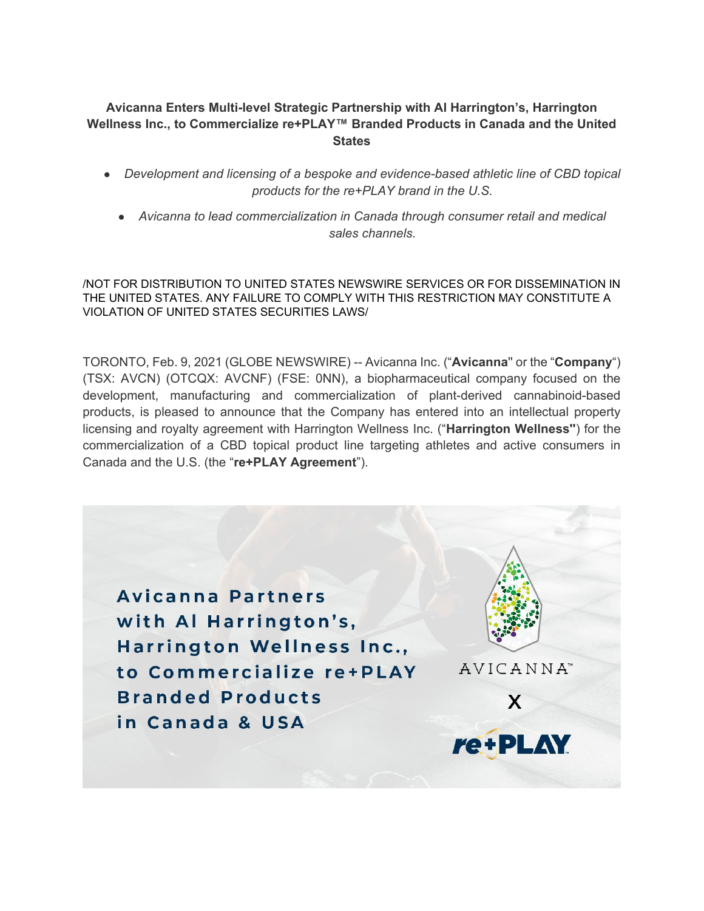## **Avicanna Enters Multi-level Strategic Partnership with Al Harrington's, Harrington Wellness Inc., to Commercialize re+PLAY™ Branded Products in Canada and the United States**

- *Development and licensing of a bespoke and evidence-based athletic line of CBD topical products for the re+PLAY brand in the U.S.*
	- *Avicanna to lead commercialization in Canada through consumer retail and medical sales channels.*

/NOT FOR DISTRIBUTION TO UNITED STATES NEWSWIRE SERVICES OR FOR DISSEMINATION IN THE UNITED STATES. ANY FAILURE TO COMPLY WITH THIS RESTRICTION MAY CONSTITUTE A VIOLATION OF UNITED STATES SECURITIES LAWS/

TORONTO, Feb. 9, 2021 (GLOBE NEWSWIRE) -- Avicanna Inc. ("**Avicanna**'' or the "**Company**") (TSX: AVCN) (OTCQX: AVCNF) (FSE: 0NN), a biopharmaceutical company focused on the development, manufacturing and commercialization of plant-derived cannabinoid-based products, is pleased to announce that the Company has entered into an intellectual property licensing and royalty agreement with Harrington Wellness Inc. ("**Harrington Wellness''**) for the commercialization of a CBD topical product line targeting athletes and active consumers in Canada and the U.S. (the "**re+PLAY Agreement**").

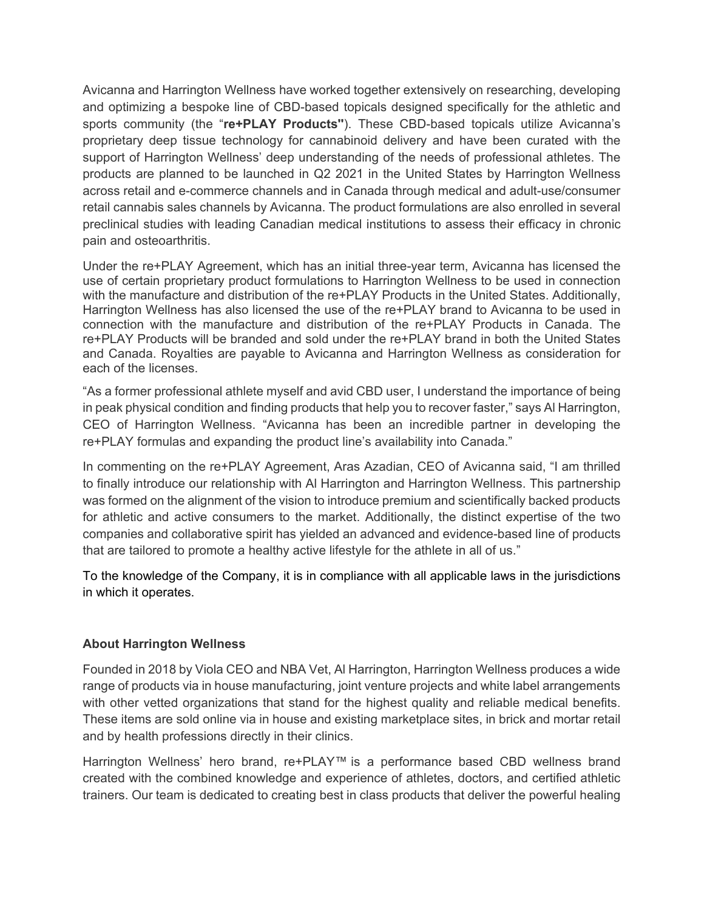Avicanna and Harrington Wellness have worked together extensively on researching, developing and optimizing a bespoke line of CBD-based topicals designed specifically for the athletic and sports community (the "**re+PLAY Products''**). These CBD-based topicals utilize Avicanna's proprietary deep tissue technology for cannabinoid delivery and have been curated with the support of Harrington Wellness' deep understanding of the needs of professional athletes. The products are planned to be launched in Q2 2021 in the United States by Harrington Wellness across retail and e-commerce channels and in Canada through medical and adult-use/consumer retail cannabis sales channels by Avicanna. The product formulations are also enrolled in several preclinical studies with leading Canadian medical institutions to assess their efficacy in chronic pain and osteoarthritis.

Under the re+PLAY Agreement, which has an initial three-year term, Avicanna has licensed the use of certain proprietary product formulations to Harrington Wellness to be used in connection with the manufacture and distribution of the re+PLAY Products in the United States. Additionally, Harrington Wellness has also licensed the use of the re+PLAY brand to Avicanna to be used in connection with the manufacture and distribution of the re+PLAY Products in Canada. The re+PLAY Products will be branded and sold under the re+PLAY brand in both the United States and Canada. Royalties are payable to Avicanna and Harrington Wellness as consideration for each of the licenses.

"As a former professional athlete myself and avid CBD user, I understand the importance of being in peak physical condition and finding products that help you to recover faster," says Al Harrington, CEO of Harrington Wellness. "Avicanna has been an incredible partner in developing the re+PLAY formulas and expanding the product line's availability into Canada."

In commenting on the re+PLAY Agreement, Aras Azadian, CEO of Avicanna said, "I am thrilled to finally introduce our relationship with Al Harrington and Harrington Wellness. This partnership was formed on the alignment of the vision to introduce premium and scientifically backed products for athletic and active consumers to the market. Additionally, the distinct expertise of the two companies and collaborative spirit has yielded an advanced and evidence-based line of products that are tailored to promote a healthy active lifestyle for the athlete in all of us."

To the knowledge of the Company, it is in compliance with all applicable laws in the jurisdictions in which it operates.

## **About Harrington Wellness**

Founded in 2018 by Viola CEO and NBA Vet, Al Harrington, Harrington Wellness produces a wide range of products via in house manufacturing, joint venture projects and white label arrangements with other vetted organizations that stand for the highest quality and reliable medical benefits. These items are sold online via in house and existing marketplace sites, in brick and mortar retail and by health professions directly in their clinics.

Harrington Wellness' hero brand, re+PLAY™ is a performance based CBD wellness brand created with the combined knowledge and experience of athletes, doctors, and certified athletic trainers. Our team is dedicated to creating best in class products that deliver the powerful healing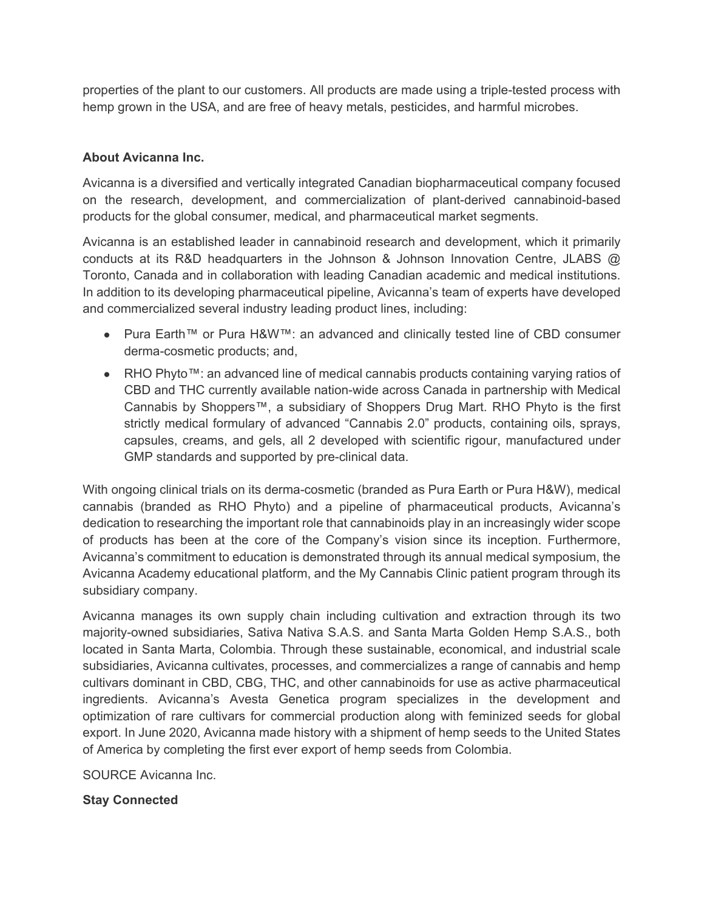properties of the plant to our customers. All products are made using a triple-tested process with hemp grown in the USA, and are free of heavy metals, pesticides, and harmful microbes.

## **About Avicanna Inc.**

Avicanna is a diversified and vertically integrated Canadian biopharmaceutical company focused on the research, development, and commercialization of plant-derived cannabinoid-based products for the global consumer, medical, and pharmaceutical market segments.

Avicanna is an established leader in cannabinoid research and development, which it primarily conducts at its R&D headquarters in the Johnson & Johnson Innovation Centre, JLABS @ Toronto, Canada and in collaboration with leading Canadian academic and medical institutions. In addition to its developing pharmaceutical pipeline, Avicanna's team of experts have developed and commercialized several industry leading product lines, including:

- Pura Earth™ or Pura H&W™: an advanced and clinically tested line of CBD consumer derma-cosmetic products; and,
- RHO Phyto™: an advanced line of medical cannabis products containing varying ratios of CBD and THC currently available nation-wide across Canada in partnership with Medical Cannabis by Shoppers™, a subsidiary of Shoppers Drug Mart. RHO Phyto is the first strictly medical formulary of advanced "Cannabis 2.0" products, containing oils, sprays, capsules, creams, and gels, all 2 developed with scientific rigour, manufactured under GMP standards and supported by pre-clinical data.

With ongoing clinical trials on its derma-cosmetic (branded as Pura Earth or Pura H&W), medical cannabis (branded as RHO Phyto) and a pipeline of pharmaceutical products, Avicanna's dedication to researching the important role that cannabinoids play in an increasingly wider scope of products has been at the core of the Company's vision since its inception. Furthermore, Avicanna's commitment to education is demonstrated through its annual medical symposium, the Avicanna Academy educational platform, and the My Cannabis Clinic patient program through its subsidiary company.

Avicanna manages its own supply chain including cultivation and extraction through its two majority-owned subsidiaries, Sativa Nativa S.A.S. and Santa Marta Golden Hemp S.A.S., both located in Santa Marta, Colombia. Through these sustainable, economical, and industrial scale subsidiaries, Avicanna cultivates, processes, and commercializes a range of cannabis and hemp cultivars dominant in CBD, CBG, THC, and other cannabinoids for use as active pharmaceutical ingredients. Avicanna's Avesta Genetica program specializes in the development and optimization of rare cultivars for commercial production along with feminized seeds for global export. In June 2020, Avicanna made history with a shipment of hemp seeds to the United States of America by completing the first ever export of hemp seeds from Colombia.

SOURCE Avicanna Inc.

**Stay Connected**